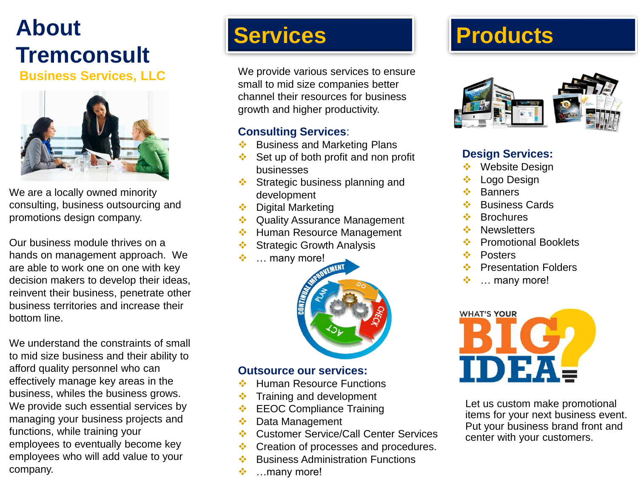# **About Tremconsult**

**Business Services, LLC**



We are a locally owned minority consulting, business outsourcing and promotions design company.

Our business module thrives on a hands on management approach. We are able to work one on one with key decision makers to develop their ideas, reinvent their business, penetrate other business territories and increase their bottom line.

We understand the constraints of small to mid size business and their ability to afford quality personnel who can effectively manage key areas in the business, whiles the business grows. We provide such essential services by managing your business projects and functions, while training your employees to eventually become key employees who will add value to your company.

## **Services**

We provide various services to ensure small to mid size companies better channel their resources for business growth and higher productivity.

#### **Consulting Services**:

- ❖ Business and Marketing Plans
- ❖ Set up of both profit and non profit businesses
- ❖ Strategic business planning and development
- ❖ Digital Marketing
- ❖ Quality Assurance Management
- ❖ Human Resource Management
- ❖ Strategic Growth Analysis
- ❖ … many more!



#### **Outsource our services:**

- ❖ Human Resource Functions
- ❖ Training and development
- ❖ EEOC Compliance Training
- ❖ Data Management
- ❖ Customer Service/Call Center Services
- ❖ Creation of processes and procedures.
- ❖ Business Administration Functions
- ❖ …many more!

# **Products**



#### **Design Services:**

- ❖ Website Design
- ❖ Logo Design
- ❖ Banners
- ❖ Business Cards
- ❖ Brochures
- ❖ Newsletters
- ❖ Promotional Booklets
- ❖ Posters
- ❖ Presentation Folders
- ❖ … many more!



Let us custom make promotional items for your next business event. Put your business brand front and center with your customers.